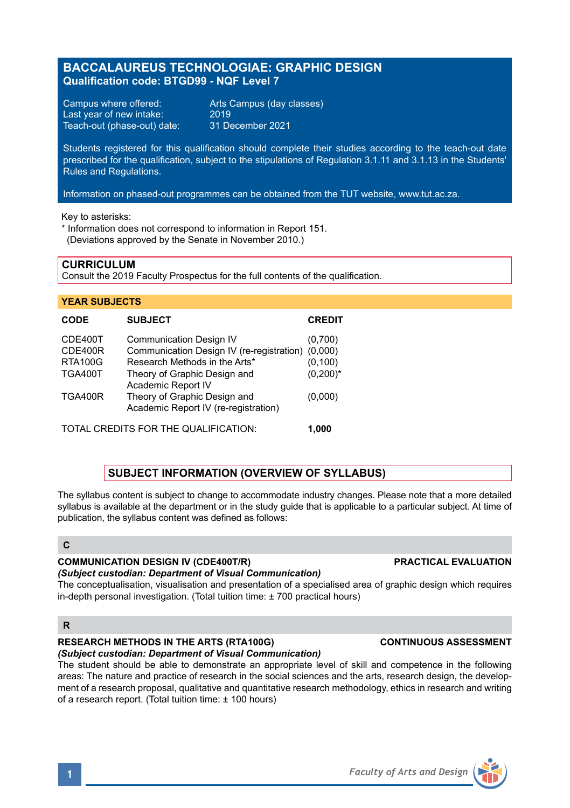# **BACCALAUREUS TECHNOLOGIAE: GRAPHIC DESIGN Qualification code: BTGD99 - NQF Level 7**

Campus where offered: Arts Campus (day classes)<br>Last year of new intake: 2019 Last year of new intake: 2019<br>Teach-out (phase-out) date: 31 December 2021 Teach-out (phase-out) date:

Students registered for this qualification should complete their studies according to the teach-out date prescribed for the qualification, subject to the stipulations of Regulation 3.1.11 and 3.1.13 in the Students' Rules and Regulations.

Information on phased-out programmes can be obtained from the TUT website, www.tut.ac.za.

Key to asterisks:

\* Information does not correspond to information in Report 151. (Deviations approved by the Senate in November 2010.)

### **CURRICULUM**

Consult the 2019 Faculty Prospectus for the full contents of the qualification.

#### **YEAR SUBJECTS**

| <b>CODE</b>                          | <b>SUBJECT</b>                                                                                               | <b>CREDIT</b>           |
|--------------------------------------|--------------------------------------------------------------------------------------------------------------|-------------------------|
| CDE400T<br>CDE400R<br><b>RTA100G</b> | <b>Communication Design IV</b><br>Communication Design IV (re-registration)<br>Research Methods in the Arts* | (0,700)<br>(0.000)      |
| <b>TGA400T</b>                       | Theory of Graphic Design and<br>Academic Report IV                                                           | (0, 100)<br>$(0,200)^*$ |
| <b>TGA400R</b>                       | Theory of Graphic Design and<br>Academic Report IV (re-registration)                                         | (0,000)                 |
|                                      |                                                                                                              |                         |

TOTAL CREDITS FOR THE QUALIFICATION: **1,000**

## **SUBJECT INFORMATION (OVERVIEW OF SYLLABUS)**

The syllabus content is subject to change to accommodate industry changes. Please note that a more detailed syllabus is available at the department or in the study guide that is applicable to a particular subject. At time of publication, the syllabus content was defined as follows:

## **C**

#### **COMMUNICATION DESIGN IV (CDE400T/R) PRACTICAL EVALUATION**

#### *(Subject custodian: Department of Visual Communication)*

The conceptualisation, visualisation and presentation of a specialised area of graphic design which requires in-depth personal investigation. (Total tuition time: ± 700 practical hours)

### **R**

# **RESEARCH METHODS IN THE ARTS (RTA100G) CONTINUOUS ASSESSMENT**

*(Subject custodian: Department of Visual Communication)* The student should be able to demonstrate an appropriate level of skill and competence in the following areas: The nature and practice of research in the social sciences and the arts, research design, the development of a research proposal, qualitative and quantitative research methodology, ethics in research and writing of a research report. (Total tuition time: ± 100 hours)